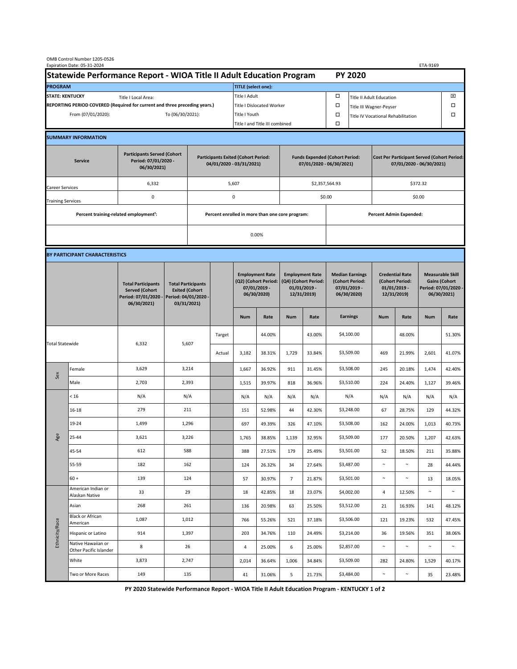| OMB Control Number 1205-0526<br>Expiration Date: 05-31-2024<br>ETA-9169                     |                                                    |                                                                                           |                                                 |                                                                                           |                                  |                                                                               |                            |                                                                                 |                         |                                                                            |                                      |                                                                                |                  |                                                                                        |                  |  |
|---------------------------------------------------------------------------------------------|----------------------------------------------------|-------------------------------------------------------------------------------------------|-------------------------------------------------|-------------------------------------------------------------------------------------------|----------------------------------|-------------------------------------------------------------------------------|----------------------------|---------------------------------------------------------------------------------|-------------------------|----------------------------------------------------------------------------|--------------------------------------|--------------------------------------------------------------------------------|------------------|----------------------------------------------------------------------------------------|------------------|--|
| Statewide Performance Report - WIOA Title II Adult Education Program                        |                                                    |                                                                                           |                                                 |                                                                                           |                                  |                                                                               | <b>PY 2020</b>             |                                                                                 |                         |                                                                            |                                      |                                                                                |                  |                                                                                        |                  |  |
| <b>PROGRAM</b>                                                                              |                                                    |                                                                                           |                                                 |                                                                                           |                                  |                                                                               | <b>TITLE</b> (select one): |                                                                                 |                         |                                                                            |                                      |                                                                                |                  |                                                                                        |                  |  |
| <b>STATE: KENTUCKY</b><br>Title I Local Area:                                               |                                                    |                                                                                           |                                                 |                                                                                           |                                  | Title I Adult                                                                 |                            |                                                                                 |                         | □                                                                          | ⊠<br><b>Title II Adult Education</b> |                                                                                |                  |                                                                                        |                  |  |
| REPORTING PERIOD COVERED (Required for current and three preceding years.)                  |                                                    |                                                                                           |                                                 |                                                                                           | <b>Title I Dislocated Worker</b> |                                                                               |                            |                                                                                 |                         | α                                                                          | Title III Wagner-Peyser              |                                                                                |                  |                                                                                        |                  |  |
| From (07/01/2020):<br>To (06/30/2021):                                                      |                                                    |                                                                                           |                                                 |                                                                                           | Title I Youth                    |                                                                               |                            |                                                                                 | α                       |                                                                            | Title IV Vocational Rehabilitation   |                                                                                |                  | Ω                                                                                      |                  |  |
|                                                                                             |                                                    |                                                                                           |                                                 |                                                                                           |                                  | Title I and Title III combined                                                |                            |                                                                                 |                         | $\Box$                                                                     |                                      |                                                                                |                  |                                                                                        |                  |  |
|                                                                                             | <b>SUMMARY INFORMATION</b>                         |                                                                                           |                                                 |                                                                                           |                                  |                                                                               |                            |                                                                                 |                         |                                                                            |                                      |                                                                                |                  |                                                                                        |                  |  |
| <b>Participants Served (Cohort</b><br>Period: 07/01/2020 -<br><b>Service</b><br>06/30/2021) |                                                    |                                                                                           |                                                 | <b>Participants Exited (Cohort Period:</b><br>04/01/2020 - 03/31/2021)                    |                                  |                                                                               |                            | <b>Funds Expended (Cohort Period:</b><br>07/01/2020 - 06/30/2021)               |                         |                                                                            |                                      | <b>Cost Per Participant Served (Cohort Period:</b><br>07/01/2020 - 06/30/2021) |                  |                                                                                        |                  |  |
| Career Services                                                                             |                                                    | 6,332                                                                                     | 5,607                                           |                                                                                           |                                  |                                                                               |                            |                                                                                 | \$2,357,564.93          |                                                                            |                                      | \$372.32                                                                       |                  |                                                                                        |                  |  |
| <b>Training Services</b>                                                                    |                                                    | 0                                                                                         | 0                                               |                                                                                           |                                  | \$0.00                                                                        |                            |                                                                                 | \$0.00                  |                                                                            |                                      |                                                                                |                  |                                                                                        |                  |  |
|                                                                                             | Percent training-related employment <sup>1</sup> : |                                                                                           | Percent enrolled in more than one core program: |                                                                                           |                                  |                                                                               |                            |                                                                                 | Percent Admin Expended: |                                                                            |                                      |                                                                                |                  |                                                                                        |                  |  |
|                                                                                             |                                                    |                                                                                           |                                                 |                                                                                           |                                  | 0.00%                                                                         |                            |                                                                                 |                         |                                                                            |                                      |                                                                                |                  |                                                                                        |                  |  |
|                                                                                             |                                                    |                                                                                           |                                                 |                                                                                           |                                  |                                                                               |                            |                                                                                 |                         |                                                                            |                                      |                                                                                |                  |                                                                                        |                  |  |
|                                                                                             | BY PARTICIPANT CHARACTERISTICS                     |                                                                                           |                                                 |                                                                                           |                                  |                                                                               |                            |                                                                                 |                         |                                                                            |                                      |                                                                                |                  |                                                                                        |                  |  |
|                                                                                             |                                                    | <b>Total Participants</b><br><b>Served (Cohort</b><br>Period: 07/01/2020 -<br>06/30/2021) |                                                 | <b>Total Participants</b><br><b>Exited (Cohort</b><br>Period: 04/01/2020 -<br>03/31/2021) |                                  | <b>Employment Rate</b><br>(Q2) (Cohort Period:<br>07/01/2019 -<br>06/30/2020) |                            | <b>Employment Rate</b><br>(Q4) (Cohort Period:<br>$01/01/2019$ -<br>12/31/2019) |                         | <b>Median Earnings</b><br>(Cohort Period:<br>$07/01/2019 -$<br>06/30/2020) |                                      | <b>Credential Rate</b><br>(Cohort Period:<br>$01/01/2019$ -<br>12/31/2019)     |                  | <b>Measurable Skill</b><br><b>Gains (Cohort</b><br>Period: 07/01/2020 -<br>06/30/2021) |                  |  |
|                                                                                             |                                                    |                                                                                           |                                                 |                                                                                           |                                  | <b>Num</b>                                                                    | Rate                       | <b>Num</b>                                                                      | Rate                    |                                                                            | <b>Earnings</b>                      | <b>Num</b>                                                                     | Rate             | <b>Num</b>                                                                             | Rate             |  |
| <b>Total Statewide</b>                                                                      |                                                    |                                                                                           |                                                 |                                                                                           | Target                           |                                                                               | 44.00%                     |                                                                                 | 43.00%                  |                                                                            | \$4,100.00                           |                                                                                | 48.00%           |                                                                                        | 51.30%           |  |
|                                                                                             |                                                    | 6,332                                                                                     |                                                 | 5,607                                                                                     | Actual                           | 3,182                                                                         | 38.31%                     | 1,729                                                                           | 33.84%                  |                                                                            | \$3,509.00                           | 469                                                                            | 21.99%           | 2,601                                                                                  | 41.07%           |  |
| Sex                                                                                         | Female                                             | 3,629                                                                                     | 3,214                                           |                                                                                           |                                  | 1,667                                                                         | 36.92%                     | 911                                                                             | 31.45%                  |                                                                            | \$3,508.00                           | 245                                                                            | 20.18%           | 1,474                                                                                  | 42.40%           |  |
|                                                                                             | Male                                               | 2,703                                                                                     | 2,393                                           |                                                                                           |                                  | 1,515                                                                         | 39.97%                     | 818                                                                             | 36.96%                  |                                                                            | \$3,510.00                           | 224                                                                            | 24.40%           | 1,127                                                                                  | 39.46%           |  |
|                                                                                             | < 16                                               | N/A                                                                                       | N/A                                             |                                                                                           |                                  | N/A                                                                           | N/A                        | N/A                                                                             | N/A                     |                                                                            | N/A                                  | N/A                                                                            | N/A              | N/A                                                                                    | N/A              |  |
|                                                                                             | 16-18                                              | 279                                                                                       | 211                                             |                                                                                           |                                  | 151                                                                           | 52.98%                     | 44                                                                              | 42.30%                  |                                                                            | \$3,248.00                           | 67                                                                             | 28.75%           | 129                                                                                    | 44.32%           |  |
| Age                                                                                         | 19-24                                              | 1,499                                                                                     | 1,296                                           |                                                                                           |                                  | 697                                                                           | 49.39%                     | 326                                                                             | 47.10%                  |                                                                            | \$3,508.00                           | 162                                                                            | 24.00%           | 1,013                                                                                  | 40.73%           |  |
|                                                                                             | 25-44                                              | 3,621                                                                                     | 3,226                                           |                                                                                           |                                  | 1,765                                                                         | 38.85%                     | 1,139                                                                           | 32.95%                  |                                                                            | \$3,509.00                           | 177                                                                            | 20.50%           | 1,207                                                                                  | 42.63%           |  |
|                                                                                             | 45-54                                              | 612                                                                                       | 588                                             |                                                                                           |                                  | 388                                                                           | 27.51%                     | 179                                                                             | 25.49%                  |                                                                            | \$3,501.00                           | 52                                                                             | 18.50%           | 211                                                                                    | 35.88%           |  |
|                                                                                             | 55-59                                              | 182                                                                                       | 162                                             |                                                                                           |                                  | 124                                                                           | 26.32%                     | 34                                                                              | 27.64%                  |                                                                            | \$3,487.00                           | $\sim$                                                                         | $\sim$           | 28                                                                                     | 44.44%           |  |
|                                                                                             | $60 +$<br>American Indian or                       | 139                                                                                       | 124                                             |                                                                                           |                                  | 57                                                                            | 30.97%                     | $\overline{7}$                                                                  | 21.87%                  |                                                                            | \$3,501.00                           | $\sim$                                                                         | $\sim$           | 13                                                                                     | 18.05%<br>$\sim$ |  |
| Ethnicity/Race                                                                              | Alaskan Native                                     | 33                                                                                        | 29                                              |                                                                                           |                                  | 18                                                                            | 42.85%                     | 18                                                                              | 23.07%                  |                                                                            | \$4,002.00                           | 4                                                                              | 12.50%           | $\sim$                                                                                 |                  |  |
|                                                                                             | Asian<br><b>Black or African</b>                   | 268<br>1,087                                                                              | 261<br>1,012                                    |                                                                                           |                                  | 136<br>766                                                                    | 20.98%<br>55.26%           | 63<br>521                                                                       | 25.50%<br>37.18%        |                                                                            | \$3,512.00<br>\$3,506.00             | 21<br>121                                                                      | 16.93%<br>19.23% | 141<br>532                                                                             | 48.12%<br>47.45% |  |
|                                                                                             | American<br>Hispanic or Latino                     | 914                                                                                       | 1,397                                           |                                                                                           |                                  | 203                                                                           | 34.76%                     | 110                                                                             | 24.49%                  |                                                                            | \$3,214.00                           | 36                                                                             | 19.56%           | 351                                                                                    | 38.06%           |  |
|                                                                                             | Native Hawaiian or<br>Other Pacific Islander       | 8                                                                                         | 26                                              |                                                                                           |                                  | 4                                                                             | 25.00%                     | 6                                                                               | 25.00%                  |                                                                            | \$2,857.00                           | $\sim$                                                                         | $\sim$           | $\sim$                                                                                 | $\sim$           |  |
|                                                                                             | White                                              | 3,873                                                                                     | 2,747                                           |                                                                                           |                                  | 2,014                                                                         | 36.64%                     | 1,006                                                                           | 34.84%                  |                                                                            | \$3,509.00                           | 282                                                                            | 24.80%           | 1,529                                                                                  | 40.17%           |  |
|                                                                                             | Two or More Races                                  | 149                                                                                       |                                                 | 135                                                                                       |                                  | 41                                                                            | 31.06%                     | 5                                                                               | 21.73%                  |                                                                            | \$3,484.00                           | $\sim$                                                                         | $\sim$           | 35                                                                                     | 23.48%           |  |

**PY 2020 Statewide Performance Report - WIOA Title II Adult Education Program - KENTUCKY 1 of 2**